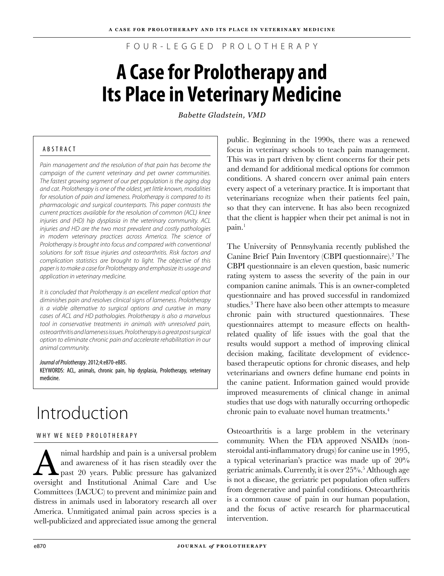F O U R - L E G G E D P R O L O T H E R A P Y

# **A Case for Prolotherapy and Its Place in Veterinary Medicine**

*Babette Gladstein, VMD*

### A B S T R A C T

*Pain management and the resolution of that pain has become the campaign of the current veterinary and pet owner communities. The fastest growing segment of our pet population is the aging dog and cat. Prolotherapy is one of the oldest, yet little known, modalities for resolution of pain and lameness. Prolotherapy is compared to its pharmacologic and surgical counterparts. This paper contrasts the current practices available for the resolution of common (ACL) knee injuries and (HD) hip dysplasia in the veterinary community. ACL injuries and HD are the two most prevalent and costly pathologies in modern veterinary practices across America. The science of Prolotherapy is brought into focus and compared with conventional solutions for soft tissue injuries and osteoarthritis. Risk factors and complication statistics are brought to light. The objective of this paper is to make a case for Prolotherapy and emphasize its usage and application in veterinary medicine.* 

*It is concluded that Prolotherapy is an excellent medical option that diminishes pain and resolves clinical signs of lameness. Prolotherapy is a viable alternative to surgical options and curative in many cases of ACL and HD pathologies. Prolotherapy is also a marvelous tool in conservative treatments in animals with unresolved pain, osteoarthritis and lameness issues. Prolotherapy is a great post surgical option to eliminate chronic pain and accelerate rehabilitation in our animal community.*

*Journal of Prolotherapy*. 2012;4:e870-e885. KEYWORDS: ACL, animals, chronic pain, hip dysplasia, Prolotherapy, veterinary medicine.

# Introduction

#### WHY WE NEED PROLOTHERAPY

Animal hardship and pain is a universal problem<br>and awareness of it has risen steadily over the<br>past 20 years. Public pressure has galvanized and awareness of it has risen steadily over the past 20 years. Public pressure has galvanized oversight and Institutional Animal Care and Use Committees (IACUC) to prevent and minimize pain and distress in animals used in laboratory research all over America. Unmitigated animal pain across species is a well-publicized and appreciated issue among the general

public. Beginning in the 1990s, there was a renewed focus in veterinary schools to teach pain management. This was in part driven by client concerns for their pets and demand for additional medical options for common conditions. A shared concern over animal pain enters every aspect of a veterinary practice. It is important that veterinarians recognize when their patients feel pain, so that they can intervene. It has also been recognized that the client is happier when their pet animal is not in  $\pi$ <sub>1</sub>

The University of Pennsylvania recently published the Canine Brief Pain Inventory (CBPI questionnaire).<sup>2</sup> The CBPI questionnaire is an eleven question, basic numeric rating system to assess the severity of the pain in our companion canine animals. This is an owner-completed questionnaire and has proved successful in randomized studies.3 There have also been other attempts to measure chronic pain with structured questionnaires. These questionnaires attempt to measure effects on healthrelated quality of life issues with the goal that the results would support a method of improving clinical decision making, facilitate development of evidencebased therapeutic options for chronic diseases, and help veterinarians and owners define humane end points in the canine patient. Information gained would provide improved measurements of clinical change in animal studies that use dogs with naturally occurring orthopedic chronic pain to evaluate novel human treatments.<sup>4</sup>

Osteoarthritis is a large problem in the veterinary community. When the FDA approved NSAIDs (nonsteroidal anti-inflammatory drugs) for canine use in 1995, a typical veterinarian's practice was made up of 20% geriatric animals. Currently, it is over 25%.<sup>5</sup> Although age is not a disease, the geriatric pet population often suffers from degenerative and painful conditions. Osteoarthritis is a common cause of pain in our human population, and the focus of active research for pharmaceutical intervention.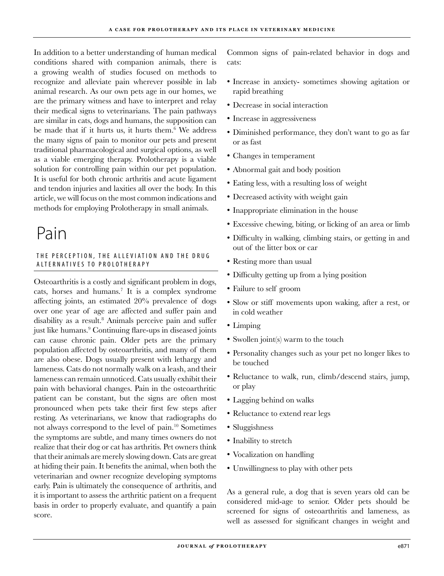In addition to a better understanding of human medical conditions shared with companion animals, there is a growing wealth of studies focused on methods to recognize and alleviate pain wherever possible in lab animal research. As our own pets age in our homes, we are the primary witness and have to interpret and relay their medical signs to veterinarians. The pain pathways are similar in cats, dogs and humans, the supposition can be made that if it hurts us, it hurts them.<sup>6</sup> We address the many signs of pain to monitor our pets and present traditional pharmacological and surgical options, as well as a viable emerging therapy. Prolotherapy is a viable solution for controlling pain within our pet population. It is useful for both chronic arthritis and acute ligament and tendon injuries and laxities all over the body. In this article, we will focus on the most common indications and methods for employing Prolotherapy in small animals.

# Pain

#### THE PERCEPTION, THE ALLEVIATION AND THE DRUG ALTERNATIVES TO PROLOTHERAPY

Osteoarthritis is a costly and significant problem in dogs, cats, horses and humans.<sup>7</sup> It is a complex syndrome affecting joints, an estimated 20% prevalence of dogs over one year of age are affected and suffer pain and disability as a result.<sup>8</sup> Animals perceive pain and suffer just like humans.<sup>9</sup> Continuing flare-ups in diseased joints can cause chronic pain. Older pets are the primary population affected by osteoarthritis, and many of them are also obese. Dogs usually present with lethargy and lameness. Cats do not normally walk on a leash, and their lameness can remain unnoticed. Cats usually exhibit their pain with behavioral changes. Pain in the osteoarthritic patient can be constant, but the signs are often most pronounced when pets take their first few steps after resting. As veterinarians, we know that radiographs do not always correspond to the level of pain.10 Sometimes the symptoms are subtle, and many times owners do not realize that their dog or cat has arthritis. Pet owners think that their animals are merely slowing down. Cats are great at hiding their pain. It benefits the animal, when both the veterinarian and owner recognize developing symptoms early. Pain is ultimately the consequence of arthritis, and it is important to assess the arthritic patient on a frequent basis in order to properly evaluate, and quantify a pain score.

Common signs of pain-related behavior in dogs and cats:

- Increase in anxiety- sometimes showing agitation or rapid breathing
- Decrease in social interaction •
- Increase in aggressiveness
- Diminished performance, they don't want to go as far or as fast
- Changes in temperament •
- Abnormal gait and body position •
- Eating less, with a resulting loss of weight
- Decreased activity with weight gain •
- Inappropriate elimination in the house
- Excessive chewing, biting, or licking of an area or limb •
- Difficulty in walking, climbing stairs, or getting in and out of the litter box or car
- Resting more than usual
- Difficulty getting up from a lying position •
- Failure to self groom •
- Slow or stiff movements upon waking, after a rest, or in cold weather
- Limping
- Swollen joint(s) warm to the touch
- Personality changes such as your pet no longer likes to be touched
- Reluctance to walk, run, climb/descend stairs, jump, or play
- Lagging behind on walks •
- Reluctance to extend rear legs •
- Sluggishness
- Inability to stretch
- Vocalization on handling •
- Unwillingness to play with other pets •

As a general rule, a dog that is seven years old can be considered mid-age to senior. Older pets should be screened for signs of osteoarthritis and lameness, as well as assessed for significant changes in weight and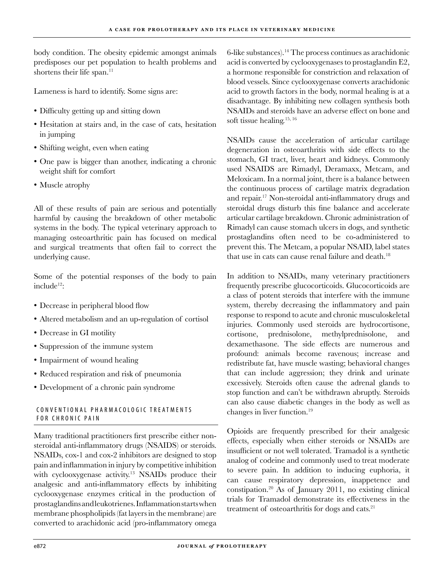body condition. The obesity epidemic amongst animals predisposes our pet population to health problems and shortens their life span.<sup>11</sup>

Lameness is hard to identify. Some signs are:

- Difficulty getting up and sitting down •
- Hesitation at stairs and, in the case of cats, hesitation in jumping
- Shifting weight, even when eating •
- One paw is bigger than another, indicating a chronic weight shift for comfort
- Muscle atrophy

All of these results of pain are serious and potentially harmful by causing the breakdown of other metabolic systems in the body. The typical veterinary approach to managing osteoarthritic pain has focused on medical and surgical treatments that often fail to correct the underlying cause.

Some of the potential responses of the body to pain include12:

- Decrease in peripheral blood flow
- Altered metabolism and an up-regulation of cortisol
- Decrease in GI motility
- Suppression of the immune system
- Impairment of wound healing
- Reduced respiration and risk of pneumonia •
- Development of a chronic pain syndrome •

#### CONVENTIONAL PHARMACOLOGIC TREATMENTS FOR CHRONIC PAIN

Many traditional practitioners first prescribe either nonsteroidal anti-inflammatory drugs (NSAIDS) or steroids. NSAIDs, cox-1 and cox-2 inhibitors are designed to stop pain and inflammation in injury by competitive inhibition with cyclooxygenase activity.<sup>13</sup> NSAIDs produce their analgesic and anti-inflammatory effects by inhibiting cyclooxygenase enzymes critical in the production of prostaglandins and leukotrienes. Inflammation starts when membrane phospholipids (fat layers in the membrane) are converted to arachidonic acid (pro-inflammatory omega

6-like substances).14 The process continues as arachidonic acid is converted by cyclooxygenases to prostaglandin E2, a hormone responsible for constriction and relaxation of blood vessels. Since cyclooxygenase converts arachidonic acid to growth factors in the body, normal healing is at a disadvantage. By inhibiting new collagen synthesis both NSAIDs and steroids have an adverse effect on bone and soft tissue healing.15, 16

NSAIDs cause the acceleration of articular cartilage degeneration in osteoarthritis with side effects to the stomach, GI tract, liver, heart and kidneys. Commonly used NSAIDS are Rimadyl, Deramaxx, Metcam, and Meloxicam. In a normal joint, there is a balance between the continuous process of cartilage matrix degradation and repair.17 Non-steroidal anti-inflammatory drugs and steroidal drugs disturb this fine balance and accelerate articular cartilage breakdown. Chronic administration of Rimadyl can cause stomach ulcers in dogs, and synthetic prostaglandins often need to be co-administered to prevent this. The Metcam, a popular NSAID, label states that use in cats can cause renal failure and death.<sup>18</sup>

In addition to NSAIDs, many veterinary practitioners frequently prescribe glucocorticoids. Glucocorticoids are a class of potent steroids that interfere with the immune system, thereby decreasing the inflammatory and pain response to respond to acute and chronic musculoskeletal injuries. Commonly used steroids are hydrocortisone, cortisone, prednisolone, methylprednisolone, and dexamethasone. The side effects are numerous and profound: animals become ravenous; increase and redistribute fat, have muscle wasting; behavioral changes that can include aggression; they drink and urinate excessively. Steroids often cause the adrenal glands to stop function and can't be withdrawn abruptly. Steroids can also cause diabetic changes in the body as well as changes in liver function.19

Opioids are frequently prescribed for their analgesic effects, especially when either steroids or NSAIDs are insufficient or not well tolerated. Tramadol is a synthetic analog of codeine and commonly used to treat moderate to severe pain. In addition to inducing euphoria, it can cause respiratory depression, inappetence and constipation.20 As of January 2011, no existing clinical trials for Tramadol demonstrate its effectiveness in the treatment of osteoarthritis for dogs and cats.<sup>21</sup>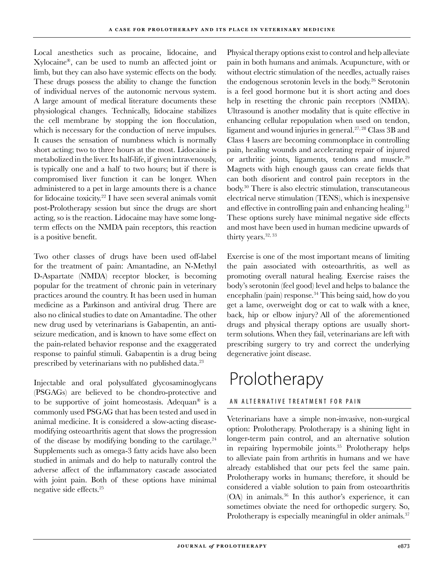Local anesthetics such as procaine, lidocaine, and Xylocaine®, can be used to numb an affected joint or limb, but they can also have systemic effects on the body. These drugs possess the ability to change the function of individual nerves of the autonomic nervous system. A large amount of medical literature documents these physiological changes. Technically, lidocaine stabilizes the cell membrane by stopping the ion flocculation, which is necessary for the conduction of nerve impulses. It causes the sensation of numbness which is normally short acting; two to three hours at the most. Lidocaine is metabolized in the liver. Its half-life, if given intravenously, is typically one and a half to two hours; but if there is compromised liver function it can be longer. When administered to a pet in large amounts there is a chance for lidocaine toxicity.22 I have seen several animals vomit post-Prolotherapy session but since the drugs are short acting, so is the reaction. Lidocaine may have some longterm effects on the NMDA pain receptors, this reaction is a positive benefit.

Two other classes of drugs have been used off-label for the treatment of pain: Amantadine, an N-Methyl D-Aspartate (NMDA) receptor blocker, is becoming popular for the treatment of chronic pain in veterinary practices around the country. It has been used in human medicine as a Parkinson and antiviral drug. There are also no clinical studies to date on Amantadine. The other new drug used by veterinarians is Gabapentin, an antiseizure medication, and is known to have some effect on the pain-related behavior response and the exaggerated response to painful stimuli. Gabapentin is a drug being prescribed by veterinarians with no published data.<sup>23</sup>

Injectable and oral polysulfated glycosaminoglycans (PSGAGs) are believed to be chondro-protective and to be supportive of joint homeostasis. Adequan® is a commonly used PSGAG that has been tested and used in animal medicine. It is considered a slow-acting diseasemodifying osteoarthritis agent that slows the progression of the disease by modifying bonding to the cartilage.<sup>24</sup> Supplements such as omega-3 fatty acids have also been studied in animals and do help to naturally control the adverse affect of the inflammatory cascade associated with joint pain. Both of these options have minimal negative side effects.<sup>25</sup>

Physical therapy options exist to control and help alleviate pain in both humans and animals. Acupuncture, with or without electric stimulation of the needles, actually raises the endogenous serotonin levels in the body.<sup>26</sup> Serotonin is a feel good hormone but it is short acting and does help in resetting the chronic pain receptors (NMDA). Ultrasound is another modality that is quite effective in enhancing cellular repopulation when used on tendon, ligament and wound injuries in general.27, 28 Class 3B and Class 4 lasers are becoming commonplace in controlling pain, healing wounds and accelerating repair of injured or arthritic joints, ligaments, tendons and muscle.29 Magnets with high enough gauss can create fields that can both disorient and control pain receptors in the body.30 There is also electric stimulation, transcutaneous electrical nerve stimulation (TENS), which is inexpensive and effective in controlling pain and enhancing healing.<sup>31</sup> These options surely have minimal negative side effects and most have been used in human medicine upwards of thirty years.<sup>32, 33</sup>

Exercise is one of the most important means of limiting the pain associated with osteoarthritis, as well as promoting overall natural healing. Exercise raises the body's serotonin (feel good) level and helps to balance the encephalin (pain) response.<sup>34</sup> This being said, how do you get a lame, overweight dog or cat to walk with a knee, back, hip or elbow injury? All of the aforementioned drugs and physical therapy options are usually shortterm solutions. When they fail, veterinarians are left with prescribing surgery to try and correct the underlying degenerative joint disease.

# Prolotherapy

### AN ALTERNATIVE TREATMENT FOR PAIN

Veterinarians have a simple non-invasive, non-surgical option: Prolotherapy. Prolotherapy is a shining light in longer-term pain control, and an alternative solution in repairing hypermobile joints.<sup>35</sup> Prolotherapy helps to alleviate pain from arthritis in humans and we have already established that our pets feel the same pain. Prolotherapy works in humans; therefore, it should be considered a viable solution to pain from osteoarthritis (OA) in animals.36 In this author's experience, it can sometimes obviate the need for orthopedic surgery. So, Prolotherapy is especially meaningful in older animals.<sup>37</sup>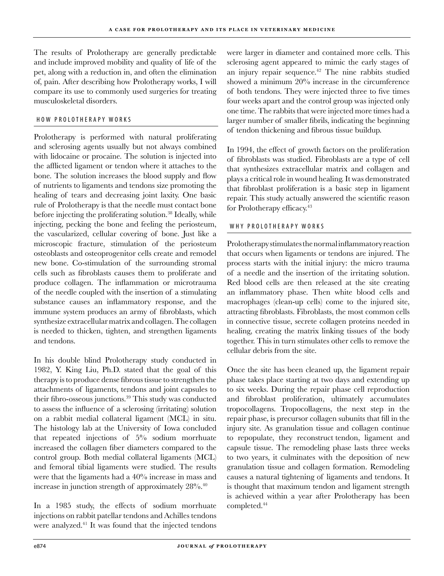The results of Prolotherapy are generally predictable and include improved mobility and quality of life of the pet, along with a reduction in, and often the elimination of, pain. After describing how Prolotherapy works, I will compare its use to commonly used surgeries for treating musculoskeletal disorders.

#### HOW PROLOTHERAPY WORKS

Prolotherapy is performed with natural proliferating and sclerosing agents usually but not always combined with lidocaine or procaine. The solution is injected into the afflicted ligament or tendon where it attaches to the bone. The solution increases the blood supply and flow of nutrients to ligaments and tendons size promoting the healing of tears and decreasing joint laxity. One basic rule of Prolotherapy is that the needle must contact bone before injecting the proliferating solution.<sup>38</sup> Ideally, while injecting, pecking the bone and feeling the periosteum, the vascularized, cellular covering of bone. Just like a microscopic fracture, stimulation of the periosteum osteoblasts and osteoprogenitor cells create and remodel new bone. Co-stimulation of the surrounding stromal cells such as fibroblasts causes them to proliferate and produce collagen. The inflammation or microtrauma of the needle coupled with the insertion of a stimulating substance causes an inflammatory response, and the immune system produces an army of fibroblasts, which synthesize extracellular matrix and collagen. The collagen is needed to thicken, tighten, and strengthen ligaments and tendons.

In his double blind Prolotherapy study conducted in 1982, Y. King Liu, Ph.D. stated that the goal of this therapy is to produce dense fibrous tissue to strengthen the attachments of ligaments, tendons and joint capsules to their fibro-osseous junctions.<sup>39</sup> This study was conducted to assess the influence of a sclerosing (irritating) solution on a rabbit medial collateral ligament (MCL) in situ. The histology lab at the University of Iowa concluded that repeated injections of 5% sodium morrhuate increased the collagen fiber diameters compared to the control group. Both medial collateral ligaments (MCL) and femoral tibial ligaments were studied. The results were that the ligaments had a 40% increase in mass and increase in junction strength of approximately 28%.<sup>40</sup>

In a 1985 study, the effects of sodium morrhuate injections on rabbit patellar tendons and Achilles tendons were analyzed.41 It was found that the injected tendons

were larger in diameter and contained more cells. This sclerosing agent appeared to mimic the early stages of an injury repair sequence.<sup>42</sup> The nine rabbits studied showed a minimum 20% increase in the circumference of both tendons. They were injected three to five times four weeks apart and the control group was injected only one time. The rabbits that were injected more times had a larger number of smaller fibrils, indicating the beginning of tendon thickening and fibrous tissue buildup.

In 1994, the effect of growth factors on the proliferation of fibroblasts was studied. Fibroblasts are a type of cell that synthesizes extracellular matrix and collagen and plays a critical role in wound healing. It was demonstrated that fibroblast proliferation is a basic step in ligament repair. This study actually answered the scientific reason for Prolotherapy efficacy.<sup>43</sup>

#### WHY PROLOTHERAPY WORKS

Prolotherapy stimulates the normal inflammatory reaction that occurs when ligaments or tendons are injured. The process starts with the initial injury: the micro trauma of a needle and the insertion of the irritating solution. Red blood cells are then released at the site creating an inflammatory phase. Then white blood cells and macrophages (clean-up cells) come to the injured site, attracting fibroblasts. Fibroblasts, the most common cells in connective tissue, secrete collagen proteins needed in healing, creating the matrix linking tissues of the body together. This in turn stimulates other cells to remove the cellular debris from the site.

Once the site has been cleaned up, the ligament repair phase takes place starting at two days and extending up to six weeks. During the repair phase cell reproduction and fibroblast proliferation, ultimately accumulates tropocollagens. Tropocollagens, the next step in the repair phase, is precursor collagen subunits that fill in the injury site. As granulation tissue and collagen continue to repopulate, they reconstruct tendon, ligament and capsule tissue. The remodeling phase lasts three weeks to two years, it culminates with the deposition of new granulation tissue and collagen formation. Remodeling causes a natural tightening of ligaments and tendons. It is thought that maximum tendon and ligament strength is achieved within a year after Prolotherapy has been completed.44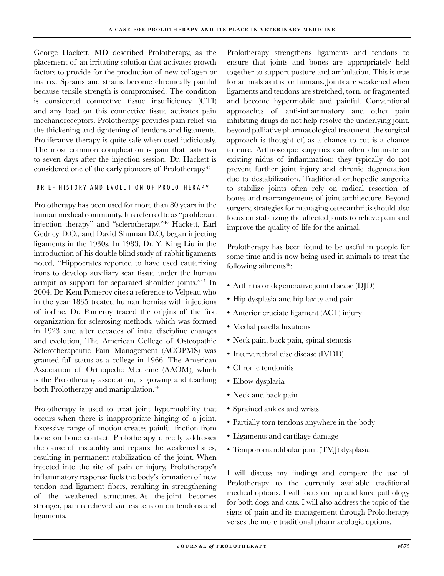George Hackett, MD described Prolotherapy, as the placement of an irritating solution that activates growth factors to provide for the production of new collagen or matrix. Sprains and strains become chronically painful because tensile strength is compromised. The condition is considered connective tissue insufficiency (CTI) and any load on this connective tissue activates pain mechanoreceptors. Prolotherapy provides pain relief via the thickening and tightening of tendons and ligaments. Proliferative therapy is quite safe when used judiciously. The most common complication is pain that lasts two to seven days after the injection session. Dr. Hackett is considered one of the early pioneers of Prolotherapy.<sup>45</sup>

#### BRIEF HISTORY AND EVOLUTION OF PROLOTHERAPY

Prolotherapy has been used for more than 80 years in the human medical community. It is referred to as "proliferant injection therapy" and "sclerotherapy."46 Hackett, Earl Gedney D.O., and David Shuman D.O, began injecting ligaments in the 1930s. In 1983, Dr. Y. King Liu in the introduction of his double blind study of rabbit ligaments noted, "Hippocrates reported to have used cauterizing irons to develop auxiliary scar tissue under the human armpit as support for separated shoulder joints."47 In 2004, Dr. Kent Pomeroy cites a reference to Velpeau who in the year 1835 treated human hernias with injections of iodine. Dr. Pomeroy traced the origins of the first organization for sclerosing methods, which was formed in 1923 and after decades of intra discipline changes and evolution, The American College of Osteopathic Sclerotherapeutic Pain Management (ACOPMS) was granted full status as a college in 1966. The American Association of Orthopedic Medicine (AAOM), which is the Prolotherapy association, is growing and teaching both Prolotherapy and manipulation.<sup>48</sup>

Prolotherapy is used to treat joint hypermobility that occurs when there is inappropriate hinging of a joint. Excessive range of motion creates painful friction from bone on bone contact. Prolotherapy directly addresses the cause of instability and repairs the weakened sites, resulting in permanent stabilization of the joint. When injected into the site of pain or injury, Prolotherapy's inflammatory response fuels the body's formation of new tendon and ligament fibers, resulting in strengthening of the weakened structures. As the joint becomes stronger, pain is relieved via less tension on tendons and ligaments.

Prolotherapy strengthens ligaments and tendons to ensure that joints and bones are appropriately held together to support posture and ambulation. This is true for animals as it is for humans. Joints are weakened when ligaments and tendons are stretched, torn, or fragmented and become hypermobile and painful. Conventional approaches of anti-inflammatory and other pain inhibiting drugs do not help resolve the underlying joint, beyond palliative pharmacological treatment, the surgical approach is thought of, as a chance to cut is a chance to cure. Arthroscopic surgeries can often eliminate an existing nidus of inflammation; they typically do not prevent further joint injury and chronic degeneration due to destabilization. Traditional orthopedic surgeries to stabilize joints often rely on radical resection of bones and rearrangements of joint architecture. Beyond surgery, strategies for managing osteoarthritis should also focus on stabilizing the affected joints to relieve pain and improve the quality of life for the animal.

Prolotherapy has been found to be useful in people for some time and is now being used in animals to treat the following ailments $49$ :

- Arthritis or degenerative joint disease (DJD) •
- Hip dysplasia and hip laxity and pain
- Anterior cruciate ligament (ACL) injury •
- Medial patella luxations •
- Neck pain, back pain, spinal stenosis •
- Intervertebral disc disease (IVDD)
- Chronic tendonitis •
- Elbow dysplasia
- Neck and back pain •
- Sprained ankles and wrists •
- Partially torn tendons anywhere in the body
- Ligaments and cartilage damage •
- Temporomandibular joint (TMJ) dysplasia •

I will discuss my findings and compare the use of Prolotherapy to the currently available traditional medical options. I will focus on hip and knee pathology for both dogs and cats. I will also address the topic of the signs of pain and its management through Prolotherapy verses the more traditional pharmacologic options.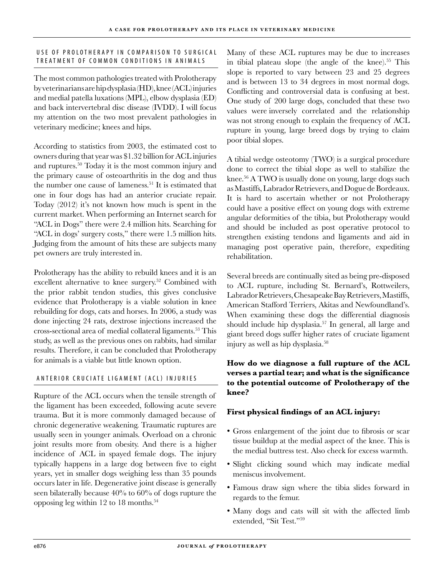#### USE OF PROLOTHERAPY IN COMPARISON TO SURGICAL TREATMENT OF COMMON CONDITIONS IN ANIMALS

The most common pathologies treated with Prolotherapy by veterinarians are hip dysplasia (HD), knee (ACL) injuries and medial patella luxations (MPL), elbow dysplasia (ED) and back intervertebral disc disease (IVDD). I will focus my attention on the two most prevalent pathologies in veterinary medicine; knees and hips.

According to statistics from 2003, the estimated cost to owners during that year was \$1.32 billion for ACL injuries and ruptures.<sup>50</sup> Today it is the most common injury and the primary cause of osteoarthritis in the dog and thus the number one cause of lameness.<sup>51</sup> It is estimated that one in four dogs has had an anterior cruciate repair. Today (2012) it's not known how much is spent in the current market. When performing an Internet search for "ACL in Dogs" there were 2.4 million hits. Searching for "ACL in dogs' surgery costs," there were 1.5 million hits. Judging from the amount of hits these are subjects many pet owners are truly interested in.

Prolotherapy has the ability to rebuild knees and it is an excellent alternative to knee surgery.<sup>52</sup> Combined with the prior rabbit tendon studies, this gives conclusive evidence that Prolotherapy is a viable solution in knee rebuilding for dogs, cats and horses. In 2006, a study was done injecting 24 rats, dextrose injections increased the cross-sectional area of medial collateral ligaments.<sup>53</sup> This study, as well as the previous ones on rabbits, had similar results. Therefore, it can be concluded that Prolotherapy for animals is a viable but little known option.

#### ANTERIOR CRUCIATE LIGAMENT (ACL) INJURIES

Rupture of the ACL occurs when the tensile strength of the ligament has been exceeded, following acute severe trauma. But it is more commonly damaged because of chronic degenerative weakening. Traumatic ruptures are usually seen in younger animals. Overload on a chronic joint results more from obesity. And there is a higher incidence of ACL in spayed female dogs. The injury typically happens in a large dog between five to eight years, yet in smaller dogs weighing less than 35 pounds occurs later in life. Degenerative joint disease is generally seen bilaterally because 40% to 60% of dogs rupture the opposing leg within  $12$  to 18 months.<sup>54</sup>

Many of these ACL ruptures may be due to increases in tibial plateau slope (the angle of the knee).<sup>55</sup> This slope is reported to vary between 23 and 25 degrees and is between 13 to 34 degrees in most normal dogs. Conflicting and controversial data is confusing at best. One study of 200 large dogs, concluded that these two values were inversely correlated and the relationship was not strong enough to explain the frequency of ACL rupture in young, large breed dogs by trying to claim poor tibial slopes.

A tibial wedge osteotomy (TWO) is a surgical procedure done to correct the tibial slope as well to stabilize the knee.<sup>56</sup> A TWO is usually done on young, large dogs such as Mastiffs, Labrador Retrievers, and Dogue de Bordeaux. It is hard to ascertain whether or not Prolotherapy could have a positive effect on young dogs with extreme angular deformities of the tibia, but Prolotherapy would and should be included as post operative protocol to strengthen existing tendons and ligaments and aid in managing post operative pain, therefore, expediting rehabilitation.

Several breeds are continually sited as being pre-disposed to ACL rupture, including St. Bernard's, Rottweilers, Labrador Retrievers, Chesapeake Bay Retrievers, Mastiffs, American Stafford Terriers, Akitas and Newfoundland's. When examining these dogs the differential diagnosis should include hip dysplasia.<sup>57</sup> In general, all large and giant breed dogs suffer higher rates of cruciate ligament injury as well as hip dysplasia.<sup>58</sup>

### **How do we diagnose a full rupture of the ACL verses a partial tear; and what is the significance to the potential outcome of Prolotherapy of the knee?**

### **First physical findings of an ACL injury:**

- Gross enlargement of the joint due to fibrosis or scar tissue buildup at the medial aspect of the knee. This is the medial buttress test. Also check for excess warmth.
- Slight clicking sound which may indicate medial meniscus involvement.
- Famous draw sign where the tibia slides forward in regards to the femur.
- Many dogs and cats will sit with the affected limb •extended, "Sit Test."<sup>59</sup>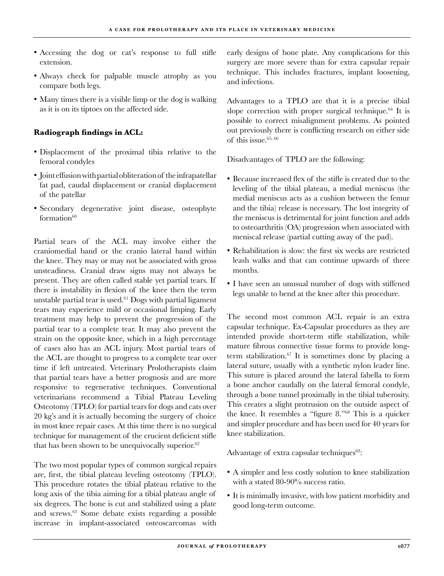- Accessing the dog or cat's response to full stifle extension.
- Always check for palpable muscle atrophy as you compare both legs.
- Many times there is a visible limp or the dog is walking as it is on its tiptoes on the affected side.

## **Radiograph findings in ACL:**

- Displacement of the proximal tibia relative to the femoral condyles
- Joint effusion with partial obliteration of the infrapatellar fat pad, caudal displacement or cranial displacement of the patellar
- Secondary degenerative joint disease, osteophyte  $formation<sup>60</sup>$

Partial tears of the ACL may involve either the craniomedial band or the cranio lateral band within the knee. They may or may not be associated with gross unsteadiness. Cranial draw signs may not always be present. They are often called stable yet partial tears. If there is instability in flexion of the knee then the term unstable partial tear is used.<sup>61</sup> Dogs with partial ligament tears may experience mild or occasional limping. Early treatment may help to prevent the progression of the partial tear to a complete tear. It may also prevent the strain on the opposite knee, which in a high percentage of cases also has an ACL injury. Most partial tears of the ACL are thought to progress to a complete tear over time if left untreated. Veterinary Prolotherapists claim that partial tears have a better prognosis and are more responsive to regenerative techniques. Conventional veterinarians recommend a Tibial Plateau Leveling Osteotomy (TPLO) for partial tears for dogs and cats over 20 kg's and it is actually becoming the surgery of choice in most knee repair cases. At this time there is no surgical technique for management of the crucient deficient stifle that has been shown to be unequivocally superior.<sup>62</sup>

The two most popular types of common surgical repairs are, first, the tibial plateau leveling osteotomy (TPLO). This procedure rotates the tibial plateau relative to the long axis of the tibia aiming for a tibial plateau angle of six degrees. The bone is cut and stabilized using a plate and screws.63 Some debate exists regarding a possible increase in implant-associated osteoscarcomas with

early designs of bone plate. Any complications for this surgery are more severe than for extra capsular repair technique. This includes fractures, implant loosening, and infections.

Advantages to a TPLO are that it is a precise tibial slope correction with proper surgical technique.<sup>64</sup> It is possible to correct misalignment problems. As pointed out previously there is conflicting research on either side of this issue. $65,66$ 

Disadvantages of TPLO are the following:

- Because increased flex of the stifle is created due to the leveling of the tibial plateau, a medial meniscus (the medial meniscus acts as a cushion between the femur and the tibia) release is necessary. The lost integrity of the meniscus is detrimental for joint function and adds to osteoarthritis (OA) progression when associated with meniscal release (partial cutting away of the pad).
- Rehabilitation is slow: the first six weeks are restricted leash walks and that can continue upwards of three months.
- I have seen an unusual number of dogs with stiffened legs unable to bend at the knee after this procedure.

The second most common ACL repair is an extra capsular technique. Ex-Capsular procedures as they are intended provide short-term stifle stabilization, while mature fibrous connective tissue forms to provide longterm stabilization. $67$  It is sometimes done by placing a lateral suture, usually with a synthetic nylon leader line. This suture is placed around the lateral fabella to form a bone anchor caudally on the lateral femoral condyle, through a bone tunnel proximally in the tibial tuberosity. This creates a slight protrusion on the outside aspect of the knee. It resembles a "figure 8."68 This is a quicker and simpler procedure and has been used for 40 years for knee stabilization.

Advantage of extra capsular techniques $69$ :

- A simpler and less costly solution to knee stabilization with a stated 80-90% success ratio.
- It is minimally invasive, with low patient morbidity and •good long-term outcome.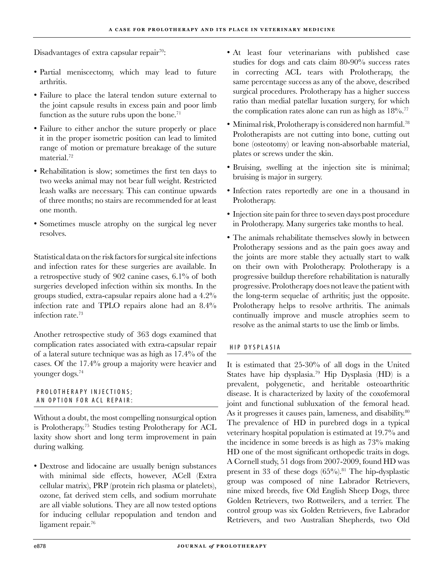Disadvantages of extra capsular repair<sup>70</sup>:

- Partial meniscectomy, which may lead to future arthritis.
- Failure to place the lateral tendon suture external to the joint capsule results in excess pain and poor limb function as the suture rubs upon the bone.<sup>71</sup>
- Failure to either anchor the suture properly or place it in the proper isometric position can lead to limited range of motion or premature breakage of the suture material.<sup>72</sup>
- Rehabilitation is slow; sometimes the first ten days to two weeks animal may not bear full weight. Restricted leash walks are necessary. This can continue upwards of three months; no stairs are recommended for at least one month.
- Sometimes muscle atrophy on the surgical leg never resolves.

Statistical data on the risk factors for surgical site infections and infection rates for these surgeries are available. In a retrospective study of 902 canine cases, 6.1% of both surgeries developed infection within six months. In the groups studied, extra-capsular repairs alone had a 4.2% infection rate and TPLO repairs alone had an 8.4% infection rate.73

Another retrospective study of 363 dogs examined that complication rates associated with extra-capsular repair of a lateral suture technique was as high as 17.4% of the cases. Of the 17.4% group a majority were heavier and younger dogs.74

#### P R O L O T H E R A P Y I N J E C T I O N S ; AN OPTION FOR ACL REPAIR:

Without a doubt, the most compelling nonsurgical option is Prolotherapy.<sup>75</sup> Studies testing Prolotherapy for ACL laxity show short and long term improvement in pain during walking.

Dextrose and lidocaine are usually benign substances • with minimal side effects, however, ACell (Extra cellular matrix), PRP (protein rich plasma or platelets), ozone, fat derived stem cells, and sodium morruhate are all viable solutions. They are all now tested options for inducing cellular repopulation and tendon and ligament repair.<sup>76</sup>

- At least four veterinarians with published case studies for dogs and cats claim 80-90% success rates in correcting ACL tears with Prolotherapy, the same percentage success as any of the above, described surgical procedures. Prolotherapy has a higher success ratio than medial patellar luxation surgery, for which the complication rates alone can run as high as  $18\%$ .<sup>77</sup>
- Minimal risk, Prolotherapy is considered non harmful.<sup>78</sup> Prolotherapists are not cutting into bone, cutting out bone (osteotomy) or leaving non-absorbable material, plates or screws under the skin.
- Bruising, swelling at the injection site is minimal; bruising is major in surgery.
- Infection rates reportedly are one in a thousand in Prolotherapy.
- Injection site pain for three to seven days post procedure in Prolotherapy. Many surgeries take months to heal.
- The animals rehabilitate themselves slowly in between •Prolotherapy sessions and as the pain goes away and the joints are more stable they actually start to walk on their own with Prolotherapy. Prolotherapy is a progressive buildup therefore rehabilitation is naturally progressive. Prolotherapy does not leave the patient with the long-term sequelae of arthritis; just the opposite. Prolotherapy helps to resolve arthritis. The animals continually improve and muscle atrophies seem to resolve as the animal starts to use the limb or limbs.

#### HIP DYSPLASIA

It is estimated that 25-30% of all dogs in the United States have hip dysplasia.79 Hip Dysplasia (HD) is a prevalent, polygenetic, and heritable osteoarthritic disease. It is characterized by laxity of the coxofemoral joint and functional subluxation of the femoral head. As it progresses it causes pain, lameness, and disability.<sup>80</sup> The prevalence of HD in purebred dogs in a typical veterinary hospital population is estimated at 19.7% and the incidence in some breeds is as high as 73% making HD one of the most significant orthopedic traits in dogs. A Cornell study, 51 dogs from 2007-2009, found HD was present in 33 of these dogs  $(65\%)$ .<sup>81</sup> The hip-dysplastic group was composed of nine Labrador Retrievers, nine mixed breeds, five Old English Sheep Dogs, three Golden Retrievers, two Rottweilers, and a terrier. The control group was six Golden Retrievers, five Labrador Retrievers, and two Australian Shepherds, two Old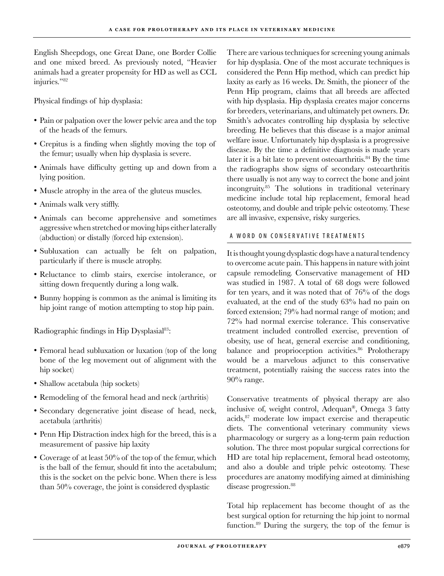English Sheepdogs, one Great Dane, one Border Collie and one mixed breed. As previously noted, "Heavier animals had a greater propensity for HD as well as CCL injuries."82

Physical findings of hip dysplasia:

- Pain or palpation over the lower pelvic area and the top of the heads of the femurs.
- Crepitus is a finding when slightly moving the top of the femur; usually when hip dysplasia is severe.
- Animals have difficulty getting up and down from a lying position.
- Muscle atrophy in the area of the gluteus muscles. •
- Animals walk very stiffly. •
- Animals can become apprehensive and sometimes aggressive when stretched or moving hips either laterally (abduction) or distally (forced hip extension).
- · Subluxation can actually be felt on palpation, particularly if there is muscle atrophy.
- Reluctance to climb stairs, exercise intolerance, or sitting down frequently during a long walk.
- Bunny hopping is common as the animal is limiting its hip joint range of motion attempting to stop hip pain.

Radiographic findings in Hip Dysplasial<sup>83</sup>:

- Femoral head subluxation or luxation (top of the long bone of the leg movement out of alignment with the hip socket)
- Shallow acetabula (hip sockets)
- Remodeling of the femoral head and neck (arthritis)
- Secondary degenerative joint disease of head, neck, acetabula (arthritis)
- Penn Hip Distraction index high for the breed, this is a measurement of passive hip laxity
- Coverage of at least 50% of the top of the femur, which is the ball of the femur, should fit into the acetabulum; this is the socket on the pelvic bone. When there is less than 50% coverage, the joint is considered dysplastic

There are various techniques for screening young animals for hip dysplasia. One of the most accurate techniques is considered the Penn Hip method, which can predict hip laxity as early as 16 weeks. Dr. Smith, the pioneer of the Penn Hip program, claims that all breeds are affected with hip dysplasia. Hip dysplasia creates major concerns for breeders, veterinarians, and ultimately pet owners. Dr. Smith's advocates controlling hip dysplasia by selective breeding. He believes that this disease is a major animal welfare issue. Unfortunately hip dysplasia is a progressive disease. By the time a definitive diagnosis is made years later it is a bit late to prevent osteoarthritis.<sup>84</sup> By the time the radiographs show signs of secondary osteoarthritis there usually is not any way to correct the bone and joint incongruity.<sup>85</sup> The solutions in traditional veterinary medicine include total hip replacement, femoral head osteotomy, and double and triple pelvic osteotomy. These are all invasive, expensive, risky surgeries.

#### A WORD ON CONSERVATIVE TREATMENTS

It is thought young dysplastic dogs have a natural tendency to overcome acute pain. This happens in nature with joint capsule remodeling. Conservative management of HD was studied in 1987. A total of 68 dogs were followed for ten years, and it was noted that of 76% of the dogs evaluated, at the end of the study 63% had no pain on forced extension; 79% had normal range of motion; and 72% had normal exercise tolerance. This conservative treatment included controlled exercise, prevention of obesity, use of heat, general exercise and conditioning, balance and proprioception activities.<sup>86</sup> Prolotherapy would be a marvelous adjunct to this conservative treatment, potentially raising the success rates into the 90% range.

Conservative treatments of physical therapy are also inclusive of, weight control, Adequan®, Omega 3 fatty acids,87 moderate low impact exercise and therapeutic diets. The conventional veterinary community views pharmacology or surgery as a long-term pain reduction solution. The three most popular surgical corrections for HD are total hip replacement, femoral head osteotomy, and also a double and triple pelvic osteotomy. These procedures are anatomy modifying aimed at diminishing disease progression.<sup>88</sup>

Total hip replacement has become thought of as the best surgical option for returning the hip joint to normal function.89 During the surgery, the top of the femur is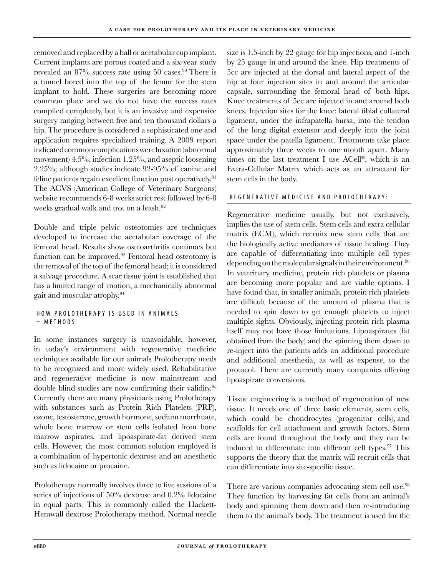removed and replaced by a ball or acetabular cup implant. Current implants are porous coated and a six-year study revealed an 87% success rate using 50 cases.<sup>90</sup> There is a tunnel bored into the top of the femur for the stem implant to hold. These surgeries are becoming more common place and we do not have the success rates compiled completely, but it is an invasive and expensive surgery ranging between five and ten thousand dollars a hip. The procedure is considered a sophisticated one and application requires specialized training. A 2009 report indicated common complications were luxation (abnormal movement) 4.5%, infection 1.25%, and aseptic loosening 2.25%; although studies indicate 92-95% of canine and feline patients regain excellent function post operatively.<sup>91</sup> The ACVS (American College of Veterinary Surgeons) website recommends 6-8 weeks strict rest followed by 6-8 weeks gradual walk and trot on a leash.<sup>92</sup>

Double and triple pelvic osteotomies are techniques developed to increase the acetabular coverage of the femoral head. Results show osteoarthritis continues but function can be improved.<sup>93</sup> Femoral head osteotomy is the removal of the top of the femoral head; it is considered a salvage procedure. A scar tissue joint is established that has a limited range of motion, a mechanically abnormal gait and muscular atrophy.94

#### HOW PROLOTHERAPY IS USED IN ANIMALS  $-$  METHODS

In some instances surgery is unavoidable, however, in today's environment with regenerative medicine techniques available for our animals Prolotherapy needs to be recognized and more widely used. Rehabilitative and regenerative medicine is now mainstream and double blind studies are now confirming their validity.95 Currently there are many physicians using Prolotherapy with substances such as Protein Rich Platelets (PRP), ozone, testosterone, growth hormone, sodium morrhuate, whole bone marrow or stem cells isolated from bone marrow aspirates, and lipoaspirate-fat derived stem cells. However, the most common solution employed is a combination of hypertonic dextrose and an anesthetic such as lidocaine or procaine.

Prolotherapy normally involves three to five sessions of a series of injections of 50% dextrose and 0.2% lidocaine in equal parts. This is commonly called the Hackett-Hemwall dextrose Prolotherapy method. Normal needle size is 1.5-inch by 22 gauge for hip injections, and 1-inch by 25 gauge in and around the knee. Hip treatments of 5cc are injected at the dorsal and lateral aspect of the hip at four injection sites in and around the articular capsule, surrounding the femoral head of both hips. Knee treatments of 5cc are injected in and around both knees. Injection sites for the knee: lateral tibial collateral ligament, under the infrapatella bursa, into the tendon of the long digital extensor and deeply into the joint space under the patella ligament. Treatments take place approximately three weeks to one month apart. Many times on the last treatment I use ACell®, which is an Extra-Cellular Matrix which acts as an attractant for stem cells in the body.

#### REGENERATIVE MEDICINE AND PROLOTHERAPY:

Regenerative medicine usually, but not exclusively, implies the use of stem cells. Stem cells and extra cellular matrix (ECM), which recruits new stem cells that are the biologically active mediators of tissue healing. They are capable of differentiating into multiple cell types depending on the molecular signals in their environment.<sup>96</sup> In veterinary medicine, protein rich platelets or plasma are becoming more popular and are viable options. I have found that, in smaller animals, protein rich platelets are difficult because of the amount of plasma that is needed to spin down to get enough platelets to inject multiple sights. Obviously, injecting protein rich plasma itself may not have those limitations. Lipoaspirates (fat obtained from the body) and the spinning them down to re-inject into the patients adds an additional procedure and additional anesthesia, as well as expense, to the protocol. There are currently many companies offering lipoaspirate conversions.

Tissue engineering is a method of regeneration of new tissue. It needs one of three basic elements, stem cells, which could be chondrocytes (progenitor cells), and scaffolds for cell attachment and growth factors. Stem cells are found throughout the body and they can be induced to differentiate into different cell types.<sup>97</sup> This supports the theory that the matrix will recruit cells that can differentiate into site-specific tissue.

There are various companies advocating stem cell use.<sup>98</sup> They function by harvesting fat cells from an animal's body and spinning them down and then re-introducing them to the animal's body. The treatment is used for the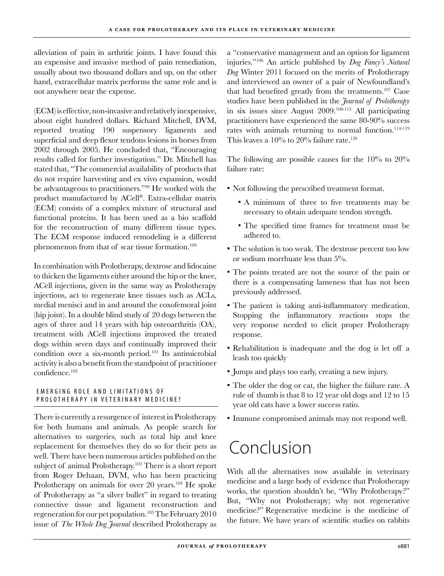alleviation of pain in arthritic joints. I have found this an expensive and invasive method of pain remediation, usually about two thousand dollars and up, on the other hand, extracellular matrix performs the same role and is not anywhere near the expense.

(ECM) is effective, non-invasive and relatively inexpensive, about eight hundred dollars. Richard Mitchell, DVM, reported treating 190 suspensory ligaments and superficial and deep flexor tendons lesions in horses from 2002 through 2005. He concluded that, "Encouraging results called for further investigation." Dr. Mitchell has stated that, "The commercial availability of products that do not require harvesting and ex vivo expansion, would be advantageous to practitioners."99 He worked with the product manufactured by ACell®. Extra-cellular matrix (ECM) consists of a complex mixture of structural and functional proteins. It has been used as a bio scaffold for the reconstruction of many different tissue types. The ECM response induced remodeling is a different phenomenon from that of scar tissue formation.<sup>100</sup>

In combination with Prolotherapy, dextrose and lidocaine to thicken the ligaments either around the hip or the knee, ACell injections, given in the same way as Prolotherapy injections, act to regenerate knee tissues such as ACLs, medial menisci and in and around the coxofemoral joint (hip joint). In a double blind study of 20 dogs between the ages of three and 14 years with hip osteoarthritis (OA), treatment with ACell injections improved the treated dogs within seven days and continually improved their condition over a six-month period.101 Its antimicrobial activity is also a benefit from the standpoint of practitioner confidence.<sup>102</sup>

#### EMERGING ROLE AND LIMITATIONS OF P ROLOTHERAPY IN VETERINARY MEDICINE?

There is currently a resurgence of interest in Prolotherapy for both humans and animals. As people search for alternatives to surgeries, such as total hip and knee replacement for themselves they do so for their pets as well. There have been numerous articles published on the subject of animal Prolotherapy.<sup>103</sup> There is a short report from Roger Dehaan, DVM, who has been practicing Prolotherapy on animals for over 20 years.<sup>104</sup> He spoke of Prolotherapy as "a silver bullet" in regard to treating connective tissue and ligament reconstruction and regeneration for our pet population.<sup>105</sup> The February 2010 issue of *The Whole Dog Journal* described Prolotherapy as

a "conservative management and an option for ligament injuries."106 An article published by *Dog Fancy's Natural Dog* Winter 2011 focused on the merits of Prolotherapy and interviewed an owner of a pair of Newfoundland's that had benefited greatly from the treatments.107 Case studies have been published in the *Journal of Prolotherapy* in six issues since August 2009.108-113 All participating practitioners have experienced the same 80-90% success rates with animals returning to normal function.<sup>114-119</sup> This leaves a  $10\%$  to  $20\%$  failure rate.<sup>120</sup>

The following are possible causes for the 10% to 20% failure rate:

- Not following the prescribed treatment format.
	- A minimum of three to five treatments may be necessary to obtain adequate tendon strength.
	- The specified time frames for treatment must be adhered to.
- The solution is too weak. The dextrose percent too low or sodium morrhuate less than 5%.
- The points treated are not the source of the pain or there is a compensating lameness that has not been previously addressed.
- The patient is taking anti-inflammatory medication. Stopping the inflammatory reactions stops the very response needed to elicit proper Prolotherapy response.
- Rehabilitation is inadequate and the dog is let off a leash too quickly
- Jumps and plays too early, creating a new injury. •
- The older the dog or cat, the higher the failure rate. A rule of thumb is that 8 to 12 year old dogs and 12 to 15 year old cats have a lower success ratio.
- Immune compromised animals may not respond well.

# Conclusion

With all the alternatives now available in veterinary medicine and a large body of evidence that Prolotherapy works, the question shouldn't be, "Why Prolotherapy?" But, "Why not Prolotherapy; why not regenerative medicine?" Regenerative medicine is the medicine of the future. We have years of scientific studies on rabbits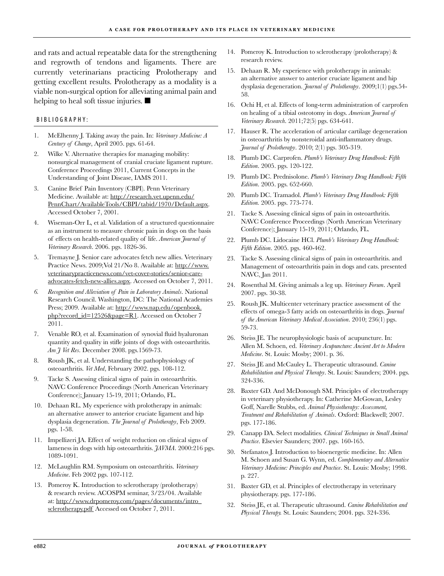and rats and actual repeatable data for the strengthening and regrowth of tendons and ligaments. There are currently veterinarians practicing Prolotherapy and getting excellent results. Prolotherapy as a modality is a viable non-surgical option for alleviating animal pain and helping to heal soft tissue injuries.  $\blacksquare$ 

#### BIBLIOGRAPHY:

- McElhenny J. Taking away the pain. In: *Veterinary Medicine: A Century of Change*, April 2005. pgs. 61-64. 1.
- Wilke V. Alternative therapies for managing mobility: nonsurgical management of cranial cruciate ligament rupture. Conference Proceedings 2011, Current Concepts in the Understanding of Joint Disease, IAMS 2011.  $2<sub>1</sub>$
- Canine Brief Pain Inventory (CBPI). Penn Veterinary Medicine. Available at: http://research.vet.upenn.edu/ PennChart/AvailableTools/CBPI/tabid/1970/Default.aspx. Accessed October 7, 2001. 3.
- Wiseman-Orr L, et al. Validation of a structured questionnaire as an instrument to measure chronic pain in dogs on the basis of effects on health-related quality of life. *American Journal of Veterinary Research*. 2006. pgs. 1826-36. 4.
- Tremayne J. Senior care advocates fetch new allies. Veterinary Practice News. 2009;Vol 21/No 8. Available at: http://www. veterinarypracticenews.com/vet-cover-stories/senior-careadvocates-fetch-new-allies.aspx. Accessed on October 7, 2011. 5.
- *Recognition and Alleviation of Pain in Laboratory Animals*. National Research Council. Washington, DC: The National Academies Press; 2009. Available at: http://www.nap.edu/openbook. php?record\_id=12526&page=R1. Accessed on October 7 2011. *6.*
- Venable RO, et al. Examination of synovial fluid hyaluronan quantity and quality in stifle joints of dogs with osteoarthritis. *Am J Vet Res*. December 2008. pgs.1569-73. 7.
- Roush JK, et al. Understanding the pathophysiology of osteoarthritis. *Vet Med*, February 2002. pgs. 108-112. 8.
- Tacke S. Assessing clinical signs of pain in osteoarthritis. NAVC Conference Proceedings (North American Veterinary Conference); January 15-19, 2011; Orlando, FL. 9.
- 10. Dehaan RL. My experience with prolotherapy in animals: an alternative answer to anterior cruciate ligament and hip dysplasia degeneration. *The Journal of Prolotherapy*, Feb 2009. pgs. 1-58.
- 11. Impellizeri JA. Effect of weight reduction on clinical signs of lameness in dogs with hip osteoarthritis. *JAVMA*. 2000:216 pgs. 1089-1091.
- McLaughlin RM. Symposium on osteoarthritis. *Veterinary*  12. *Medicine*. Feb 2002 pgs. 107-112.
- 13. Pomeroy K. Introduction to sclerotherapy (prolotherapy) & research review. ACOSPM seminar, 3/23/04. Available at: http://www.drpomeroy.com/pages/documents/intro\_ sclerotherapy.pdf Accessed on October 7, 2011.
- 14. Pomeroy K. Introduction to sclerotherapy (prolotherapy) & research review.
- 15. Dehaan R. My experience with prolotherapy in animals: an alternative answer to anterior cruciate ligament and hip dysplasia degeneration. *Journal of Prolotherapy*. 2009;1(1) pgs.54- 58.
- 16. Ochi H, et al. Effects of long-term administration of carprofen on healing of a tibial osteotomy in dogs. *American Journal of Veterinary Research*. 2011;72(5) pgs. 634-641.
- 17. Hauser R. The acceleration of articular cartilage degeneration in osteoarthritis by nonsteroidal anti-inflammatory drugs. *Journal of Prolotherapy*. 2010; 2(1) pgs. 305-319.
- 18. Plumb DC. Carprofen. *Plumb's Veterinary Drug Handbook: Fifth Edition*. 2005. pgs. 120-122.
- Plumb DC. Prednisolone. *Plumb's Veterinary Drug Handbook: Fifth*  19. *Edition*. 2005. pgs. 652-660.
- Plumb DC. Tramadol. *Plumb's Veterinary Drug Handbook: Fifth*  20. *Edition.* 2005. pgs. 773-774.
- Tacke S. Assessing clinical signs of pain in osteoarthritis. 21. NAVC Conference Proceedings (North American Veterinary Conference); January 15-19, 2011; Orlando, FL.
- Plumb DC. Lidocaine HCl. *Plumb's Veterinary Drug Handbook:*  22. *Fifth Edition*. 2005. pgs. 460-462.
- Tacke S. Assessing clinical signs of pain in osteoarthritis. and 23. Management of osteoarthritis pain in dogs and cats. presented NAVC, Jan 2011.
- Rosenthal M. Giving animals a leg up. *Veterinary Forum*. April 24. 2007. pgs. 30-38.
- 25. Roush JK. Multicenter veterinary practice assessment of the effects of omega-3 fatty acids on osteoarthritis in dogs. *Journal of the American Veterinary Medical Association*. 2010; 236(1) pgs. 59-73.
- 26. Steiss JE. The neurophysiologic basis of acupuncture. In: Allen M. Schoen, ed. *Veterinary Acupuncture: Ancient Art to Modern Medicine*. St. Louis: Mosby; 2001. p. 36.
- 27. Steiss JE and McCauley L. Therapeutic ultrasound. *Canine Rehabilitation and Physical Therapy*. St. Louis: Saunders; 2004. pgs. 324-336.
- 28. Baxter GD. And McDonough SM. Principles of electrotherapy in veterinary physiotherapy. In: Catherine McGowan, Lesley Goff, Narelle Stubbs, ed. *Animal Physiotherapy: Assessment, Treatment and Rehabilitation of Animals*. Oxford: Blackwell; 2007. pgs. 177-186.
- Canapp DA. Select modalities. *Clinical Techniques in Small Animal*  29. *Practice*. Elsevier Saunders; 2007. pgs. 160-165.
- Stefanatos J. Introduction to bioenergetic medicine. In: Allen M. Schoen and Susan G. Wynn, ed. *Complementary and Alternative Veterinary Medicine: Principles and Practice*. St. Louis: Mosby; 1998. p. 227. 30.
- Baxter GD, et al. Principles of electrotherapy in veterinary 31. physiotherapy. pgs. 177-186.
- Steiss JE, et al. Therapeutic ultrasound. *Canine Rehabilitation and*  32.*Physical Therapy.* St. Louis: Saunders; 2004. pgs. 324-336.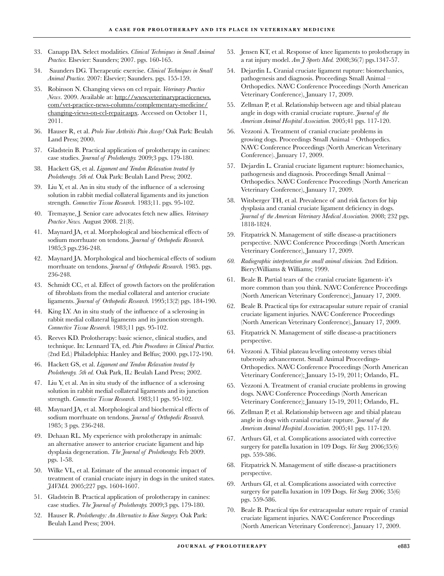- Canapp DA. Select modalities. *Clinical Techniques in Small Animal*  33. *Practice.* Elsevier: Saunders; 2007. pgs. 160-165.
- Saunders DG. Therapeutic exercise. *Clinical Techniques in Small*  34. *Animal Practice.* 2007: Elsevier; Saunders. pgs. 155-159.
- Robinson N. Changing views on ccl repair. *Veterinary Practice*  35. *News*. 2009. Available at: http://www.veterinarypracticenews. com/vet-practice-news-columns/complementary-medicine/ changing-views-on-ccl-repair.aspx. Accessed on October 11, 2011.
- Hauser R, et al. *Prolo Your Arthritis Pain Away!* Oak Park: Beulah 36. Land Press; 2000.
- 37. Gladstein B. Practical application of prolotherapy in canines: case studies. *Journal of Prolotherapy.* 2009;3 pgs. 179-180.
- Hackett GS, et al. *Ligament and Tendon Relaxation treated by*  38. *Prolotherapy. 5th ed.* Oak Park: Beulah Land Press; 2002.
- 39. Liu Y, et al. An in situ study of the influence of a sclerosing solution in rabbit medial collateral ligaments and its junction strength. *Connective Tissue Research.* 1983;11. pgs. 95-102.
- Tremayne, J. Senior care advocates fetch new allies. *Veterinary*  40. *Practice News.* August 2008. 21(8).
- Maynard JA, et al. Morphological and biochemical effects of 41. sodium morrhuate on tendons. *Journal of Orthopedic Research.* 1985;3 pgs.236-248.
- Maynard JA. Morphological and biochemical effects of sodium 42. morrhuate on tendons. *Journal of Orthopedic Research.* 1985. pgs. 236-248.
- 43. Schmidt CC, et al. Effect of growth factors on the proliferation of fibroblasts from the medial collateral and anterior cruciate ligaments. *Journal of Orthopedic Research.* 1995;13(2) pgs. 184-190.
- 44. King LY. An in situ study of the influence of a sclerosing in rabbit medial collateral ligaments and its junction strength. *Connective Tissue Research.* 1983;11 pgs. 95-102.
- 45. Reeves KD. Prolotherapy: basic science, clinical studies, and technique. In: Lennard TA, ed. *Pain Procedures in Clinical Practice.* (2nd Ed.) Philadelphia: Hanley and Belfus; 2000. pgs.172-190.
- Hackett GS, et al. *Ligament and Tendon Relaxation treated by*  46. *Prolotherapy. 5th ed.* Oak Park, IL: Beulah Land Press; 2002.
- 47. Liu Y, et al. An in situ study of the influence of a sclerosing solution in rabbit medial collateral ligaments and its junction strength. *Connective Tissue Research.* 1983;11 pgs. 95-102.
- 48. Maynard JA, et al. Morphological and biochemical effects of sodium morrhuate on tendons. *Journal of Orthopedic Research.* 1985; 3 pgs. 236-248.
- Dehaan RL. My experience with prolotherapy in animals: 49. an alternative answer to anterior cruciate ligament and hip dysplasia degeneration. *The Journal of Prolotherapy.* Feb 2009. pgs. 1-58.
- Wilke VL, et al. Estimate of the annual economic impact of 50. treatment of cranial cruciate injury in dogs in the united states. *JAVMA.* 2005;227 pgs. 1604-1607.
- 51. Gladstein B. Practical application of prolotherapy in canines: case studies. *The Journal of Prolotherapy.* 2009;3 pgs. 179-180.
- 52. Hauser R. Prolotherapy: An Alternative to Knee Surgery. Oak Park: Beulah Land Press; 2004.
- 53. Jensen KT, et al. Response of knee ligaments to prolotherapy in a rat injury model. *Am J Sports Med.* 2008;36(7) pgs.1347-57.
- Dejardin L. Cranial cruciate ligament rupture: biomechanics, 54. pathogenesis and diagnosis. Proceedings Small Animal – Orthopedics. NAVC Conference Proceedings (North American Veterinary Conference), January 17, 2009.
- 55. Zellman P, et al. Relationship between age and tibial plateau angle in dogs with cranial cruciate rupture. *Journal of the American Animal Hospital Association.* 2005;41 pgs. 117-120.
- Vezzoni A. Treatment of cranial cruciate problems in growing dogs. Proceedings Small Animal – Orthopedics. NAVC Conference Proceedings (North American Veterinary Conference). January 17, 2009. 56.
- 57. Dejardin L. Cranial cruciate ligament rupture: biomechanics, pathogenesis and diagnosis. Proceedings Small Animal – Orthopedics. NAVC Conference Proceedings (North American Veterinary Conference), January 17, 2009.
- Witsberger TH, et al. Prevalence of and risk factors for hip dysplasia and cranial cruciate ligament deficiency in dogs. *Journal of the American Veterinary Medical Association.* 2008; 232 pgs. 1818-1824. 58.
- Fitzpatrick N. Management of stifle disease-a practitioners 59. perspective. NAVC Conference Proceedings (North American Veterinary Conference), January 17, 2009.
- *Radiographic interpretation for small animal clinician.* 2nd Edition. *60.* Biery:Williams & Williams; 1999.
- 61. Beale B. Partial tears of the cranial cruciate ligament-it's more common than you think. NAVC Conference Proceedings (North American Veterinary Conference), January 17, 2009.
- 62. Beale B. Practical tips for extracapsular suture repair of cranial cruciate ligament injuries. NAVC Conference Proceedings (North American Veterinary Conference), January 17, 2009.
- Fitzpatrick N. Management of stifle disease-a practitioners 63. perspective.
- 64. Vezzoni A. Tibial plateau leveling osteotomy verses tibial tuberosity advancement. Small Animal Proceedings-Orthopedics. NAVC Conference Proceedings (North American Veterinary Conference); January 15-19, 2011; Orlando, FL.
- Vezzoni A. Treatment of cranial cruciate problems in growing dogs. NAVC Conference Proceedings (North American Veterinary Conference); January 15-19, 2011; Orlando, FL. 65.
- 66. Zellman P, et al. Relationship between age and tibial plateau angle in dogs with cranial cruciate rupture. *Journal of the American Animal Hospital Association.* 2005;41 pgs. 117-120.
- Arthurs GI, et al. Complications associated with corrective 67. surgery for patella luxation in 109 Dogs. *Vet Surg.* 2006;35(6) pgs. 559-586.
- Fitzpatrick N. Management of stifle disease-a practitioners 68. perspective.
- Arthurs GI, et al. Complications associated with corrective 69. surgery for patella luxation in 109 Dogs. *Vet Surg.* 2006; 35(6) pgs. 559-586.
- 70. Beale B. Practical tips for extracapsular suture repair of cranial cruciate ligament injuries. NAVC Conference Proceedings (North American Veterinary Conference). January 17, 2009.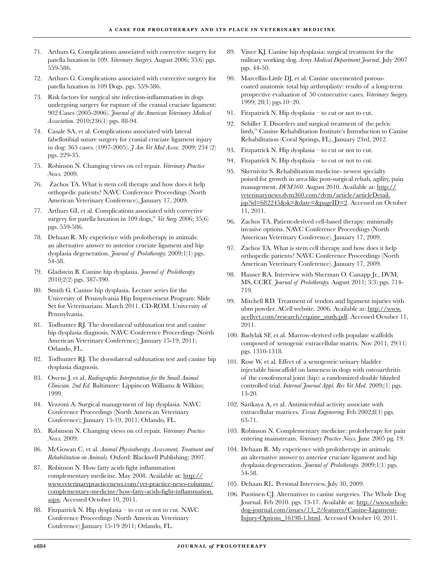- Arthurs G. Complications associated with corrective surgery for 71. patella luxation in 109. *Veterinary Surgery.* August 2006; 35(6) pgs. 559-586.
- Arthurs G. Complications associated with corrective surgery for 72. patella luxation in 109 Dogs. pgs. 559-586.
- 73. Risk factors for surgical site infection-inflammation in dogs undergoing surgery for rupture of the cranial cruciate ligament: 902 Cases (2005-2006). *Journal of the American Veterinary Medical Association.* 2010;236(1) pgs. 88-94.
- Casale SA, et al. Complications associated with lateral 74. fabellotibial suture surgery for cranial cruciate ligament injury in dog: 363 cases. (1997-2005). *J Am Vet Med Assoc.* 2009; 234 (2) pgs. 229-35.
- Robinson N. Changing views on ccl repair. *Veterinary Practice*  75. *News.* 2009.
- 76. Zachos TA. What is stem cell therapy and how does it help orthopedic patients? NAVC Conference Proceedings (North American Veterinary Conference), January 17, 2009.
- Arthurs GI, et al. Complications associated with corrective 77. surgery for patella luxation in 109 dogs," *Vet Surg.* 2006; 35(6) pgs. 559-586.
- 78. Dehaan R. My experience with prolotherapy in animals: an alternative answer to anterior cruciate ligament and hip dysplasia degeneration. *Journal of Prolotherapy.* 2009;1(1) pgs. 54-58.
- Gladstein B. Canine hip dysplasia. *Journal of Prolotherapy.* 79. 2010;2(2) pgs. 387-390.
- Smith G. Canine hip dysplasia. Lecture series for the 80. University of Pennsylvania Hip Improvement Program: Slide Set for Veterinarians. March 2011. CD-ROM. University of Pennsylvania.
- 81. Todhunter RJ. The dorsolateral subluxation test and canine hip dysplasia diagnosis. NAVC Conference Proceedings (North American Veterinary Conference); January 15-19, 2011; Orlando, FL.
- Todhunter RJ. The dorsolateral subluxation test and canine hip 82. dysplasia diagnosis.
- Owens J, et al. *Radiographic Interpretation for the Small Animal*  83. *Clinician. 2nd Ed.* Baltimore: Lippincott Williams & Wilkins; 1999.
- 84. Vezzoni A. Surgical management of hip dysplasia. NAVC Conference Proceedings (North American Veterinary Conference); January 15-19, 2011; Orlando, FL.
- Robinson N. Changing views on ccl repair. *Veterinary Practice*  85. *News.* 2009.
- McGowan C, et al. *Animal Physiotherapy, Assessment, Treatment and*  86. *Rehabilitation on Animals.* Oxford: Blackwell Publishing; 2007.
- 87. Robinson N. How fatty acids fight inflammation complementary medicine. May 2008. Available at: http:// www.veterinarypracticenews.com/vet-practice-news-columns/ complementary-medicine/how-fatty-acids-fight-inflammation. aspx. Accessed October 10, 2011.
- Fitzpatrick N. Hip dysplasia to cut or not to cut. NAVC 88. Conference Proceedings (North American Veterinary Conference) January 15-19 2011; Orlando, FL.
- 89. Vince KJ. Canine hip dysplasia: surgical treatment for the military working dog. *Army Medical Department Journal*. July 2007 pgs. 44-50.
- Marcellin-Little DJ, et al. Canine uncemented porouscoated anatomic total hip arthroplasty: results of a long-term prospective evaluation of 50 consecutive cases. *Veterinary Surgery.* 1999; 28(1) pgs.10–20. 90.
- 91. Fitzpatrick N. Hip dysplasia to cut or not to cut.
- 92. Schiller T. Disorders and surgical treatment of the pelvic limb," Canine Rehabilitation Institute's Introduction to Canine Rehabilitation (Coral Springs, FL), January 23rd, 2012.
- 93. Fitzpatrick N. Hip dysplasia to cut or not to cut.
- 94. Fitzpatrick N. Hip dysplasia to cut or not to cut.
- 95. Skernivitz S. Rehabilitation medicine-newest specialty poised for growth in area like post-surgical rehab, agility, pain management. *DVM360.* August 2010. Available at: http:// veterinarynews.dvm360.com/dvm/article/articleDetail. jsp?id=682245&sk=&date=&pageID=2. Accessed on October 11, 2011.
- 96. Zachos TA. Patient-derived cell-based therapy: minimally invasive options. NAVC Conference Proceedings (North American Veterinary Conference). January 17, 2009.
- 97. Zachos TA. What is stem cell therapy and how does it help orthopedic patients? NAVC Conference Proceedings (North American Veterinary Conference). January 17, 2009.
- 98. Hauser RA. Interview with Sherman O. Canapp Jr., DVM, MS, CCRT. *Journal of Prolotherapy.* August 2011; 3(3) pgs. 714- 719.
- 99. Mitchell RD. Treatment of tendon and ligament injuries with ubm powder. ACell website. 2006. Available at: http://www. acellvet.com/research/equine\_study.pdf. Accessed October 11, 2011.
- 100. Badylak SF, et al. Marrow-derived cells populate scaffolds composed of xenogenic extracellular matrix. Nov 2011; 29(11) pgs. 1310-1318.
- 101. Rose W, et al. Effect of a xenogeneic urinary bladder injectable bioscaffold on lameness in dogs with osteoarthritis of the coxofemoral joint (hip): a randomized double blinded controlled trial. *Internal Journal Appl. Res Vet Med*. 2009;(1) pgs. 13-20.
- 102. Sarikaya A, et al. Antimicrobial activity associate with extracellular matrices. *Tissue Engineering.* Feb 2002;8(1) pgs. 63-71.
- 103. Robinson N. Complementary medicine: prolotherapy for pain entering mainstream. *Veterinary Practice News.* June 2005 pg. 19.
- 104. Dehaan R. My experience with prolotherapy in animals: an alternative answer to anterior cruciate ligament and hip dysplasia degeneration. *Journal of Prolotherapy.* 2009;1(1) pgs. 54-58.
- 105. Dehaan RL. Personal Interview. July 30, 2009.
- 106. Puotinen CJ. Alternatives to canine surgeries. The Whole Dog Journal. Feb 2010. pgs. 13-17. Available at: http://www.wholedog-journal.com/issues/13\_2/features/Canine-Ligament-Injury-Options\_16198-1.html. Accessed October 10, 2011.